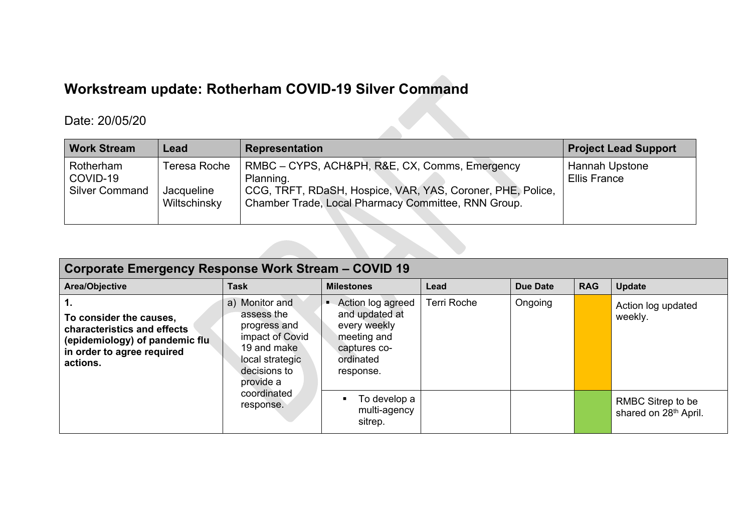## **Workstream update: Rotherham COVID-19 Silver Command**

## Date: 20/05/20

| <b>Work Stream</b>                             | Lead                                       | <b>Representation</b>                                                                                                                                                            | <b>Project Lead Support</b>    |
|------------------------------------------------|--------------------------------------------|----------------------------------------------------------------------------------------------------------------------------------------------------------------------------------|--------------------------------|
| Rotherham<br>COVID-19<br><b>Silver Command</b> | Teresa Roche<br>Jacqueline<br>Wiltschinsky | RMBC – CYPS, ACH&PH, R&E, CX, Comms, Emergency<br>Planning.<br>CCG, TRFT, RDaSH, Hospice, VAR, YAS, Coroner, PHE, Police,<br>Chamber Trade, Local Pharmacy Committee, RNN Group. | Hannah Upstone<br>Ellis France |

| Corporate Emergency Response Work Stream - COVID 19                                                                                |                                                                                                                                |                                                                                                              |                    |                 |            |                                            |  |  |  |  |
|------------------------------------------------------------------------------------------------------------------------------------|--------------------------------------------------------------------------------------------------------------------------------|--------------------------------------------------------------------------------------------------------------|--------------------|-----------------|------------|--------------------------------------------|--|--|--|--|
| Area/Objective                                                                                                                     | <b>Task</b>                                                                                                                    | <b>Milestones</b>                                                                                            | Lead               | <b>Due Date</b> | <b>RAG</b> | <b>Update</b>                              |  |  |  |  |
| To consider the causes,<br>characteristics and effects<br>(epidemiology) of pandemic flu<br>in order to agree required<br>actions. | a) Monitor and<br>assess the<br>progress and<br>impact of Covid<br>19 and make<br>local strategic<br>decisions to<br>provide a | Action log agreed<br>and updated at<br>every weekly<br>meeting and<br>captures co-<br>ordinated<br>response. | <b>Terri Roche</b> | Ongoing         |            | Action log updated<br>weekly.              |  |  |  |  |
|                                                                                                                                    | coordinated<br>response.                                                                                                       | To develop a<br>multi-agency<br>sitrep.                                                                      |                    |                 |            | RMBC Sitrep to be<br>shared on 28th April. |  |  |  |  |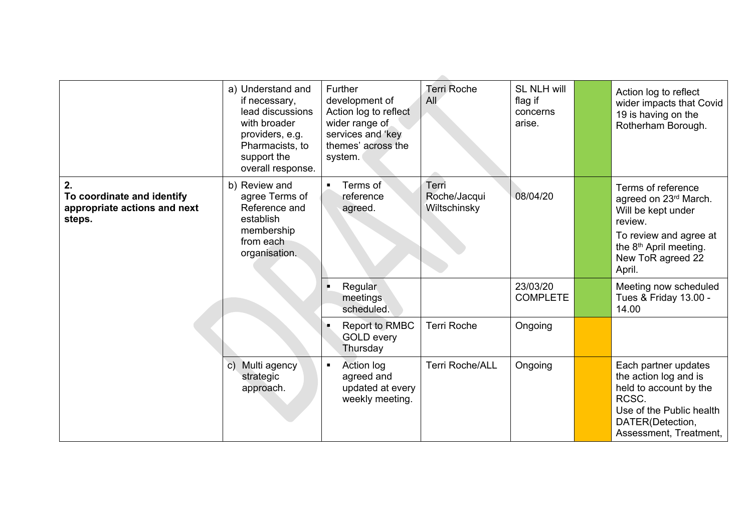|                                                                      | a) Understand and<br>if necessary,<br>lead discussions<br>with broader<br>providers, e.g.<br>Pharmacists, to | Further<br>development of<br>Action log to reflect<br>wider range of<br>services and 'key<br>themes' across the | <b>Terri Roche</b><br>All    | <b>SL NLH will</b><br>flag if<br>concerns<br>arise. | Action log to reflect<br>wider impacts that Covid<br>19 is having on the<br>Rotherham Borough.                                                             |
|----------------------------------------------------------------------|--------------------------------------------------------------------------------------------------------------|-----------------------------------------------------------------------------------------------------------------|------------------------------|-----------------------------------------------------|------------------------------------------------------------------------------------------------------------------------------------------------------------|
| 2.                                                                   | support the<br>overall response.<br>b) Review and                                                            | system.<br>Terms of<br>$\blacksquare$                                                                           | Terri                        |                                                     | Terms of reference                                                                                                                                         |
| To coordinate and identify<br>appropriate actions and next<br>steps. | agree Terms of<br>Reference and<br>establish<br>membership                                                   | reference<br>agreed.                                                                                            | Roche/Jacqui<br>Wiltschinsky | 08/04/20                                            | agreed on 23rd March.<br>Will be kept under<br>review.                                                                                                     |
|                                                                      | from each<br>organisation.                                                                                   |                                                                                                                 |                              |                                                     | To review and agree at<br>the 8 <sup>th</sup> April meeting.<br>New ToR agreed 22<br>April.                                                                |
|                                                                      |                                                                                                              | Regular<br>meetings<br>scheduled.                                                                               |                              | 23/03/20<br><b>COMPLETE</b>                         | Meeting now scheduled<br>Tues & Friday 13.00 -<br>14.00                                                                                                    |
|                                                                      |                                                                                                              | <b>Report to RMBC</b><br><b>GOLD every</b><br>Thursday                                                          | <b>Terri Roche</b>           | Ongoing                                             |                                                                                                                                                            |
|                                                                      | c) Multi agency<br>strategic<br>approach.                                                                    | Action log<br>$\blacksquare$<br>agreed and<br>updated at every<br>weekly meeting.                               | <b>Terri Roche/ALL</b>       | Ongoing                                             | Each partner updates<br>the action log and is<br>held to account by the<br>RCSC.<br>Use of the Public health<br>DATER(Detection,<br>Assessment, Treatment, |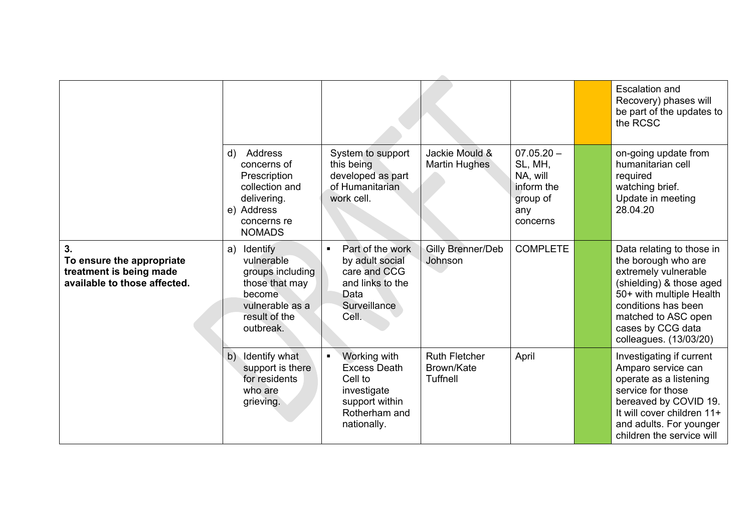|                                                                                            |                                                                                                                             |                                                                                                                            |                                                |                                                                                  | <b>Escalation and</b><br>Recovery) phases will<br>be part of the updates to<br>the RCSC                                                                                                                                       |
|--------------------------------------------------------------------------------------------|-----------------------------------------------------------------------------------------------------------------------------|----------------------------------------------------------------------------------------------------------------------------|------------------------------------------------|----------------------------------------------------------------------------------|-------------------------------------------------------------------------------------------------------------------------------------------------------------------------------------------------------------------------------|
|                                                                                            | Address<br>d)<br>concerns of<br>Prescription<br>collection and<br>delivering.<br>e) Address<br>concerns re<br><b>NOMADS</b> | System to support<br>this being<br>developed as part<br>of Humanitarian<br>work cell.                                      | Jackie Mould &<br>Martin Hughes                | $07.05.20 -$<br>SL, MH,<br>NA, will<br>inform the<br>group of<br>any<br>concerns | on-going update from<br>humanitarian cell<br>required<br>watching brief.<br>Update in meeting<br>28.04.20                                                                                                                     |
| 3.<br>To ensure the appropriate<br>treatment is being made<br>available to those affected. | a) Identify<br>vulnerable<br>groups including<br>those that may<br>become<br>vulnerable as a<br>result of the<br>outbreak.  | Part of the work<br>$\blacksquare$<br>by adult social<br>care and CCG<br>and links to the<br>Data<br>Surveillance<br>Cell. | Gilly Brenner/Deb<br>Johnson                   | <b>COMPLETE</b>                                                                  | Data relating to those in<br>the borough who are<br>extremely vulnerable<br>(shielding) & those aged<br>50+ with multiple Health<br>conditions has been<br>matched to ASC open<br>cases by CCG data<br>colleagues. (13/03/20) |
|                                                                                            | Identify what<br>b)<br>support is there<br>for residents<br>who are<br>grieving.                                            | Working with<br><b>Excess Death</b><br>Cell to<br>investigate<br>support within<br>Rotherham and<br>nationally.            | <b>Ruth Fletcher</b><br>Brown/Kate<br>Tuffnell | April                                                                            | Investigating if current<br>Amparo service can<br>operate as a listening<br>service for those<br>bereaved by COVID 19.<br>It will cover children 11+<br>and adults. For younger<br>children the service will                  |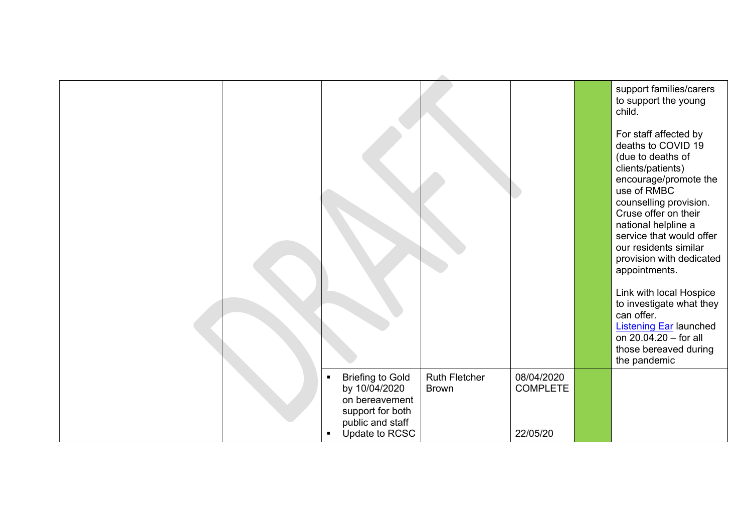|                                                                                                                      |                                      |                               |          | support families/carers<br>to support the young<br>child.                                                                                                                                                                                                                                                                                                                                                                               |
|----------------------------------------------------------------------------------------------------------------------|--------------------------------------|-------------------------------|----------|-----------------------------------------------------------------------------------------------------------------------------------------------------------------------------------------------------------------------------------------------------------------------------------------------------------------------------------------------------------------------------------------------------------------------------------------|
|                                                                                                                      |                                      |                               |          | For staff affected by<br>deaths to COVID 19<br>(due to deaths of<br>clients/patients)<br>encourage/promote the<br>use of RMBC<br>counselling provision.<br>Cruse offer on their<br>national helpline a<br>service that would offer<br>our residents similar<br>provision with dedicated<br>appointments.<br>Link with local Hospice<br>to investigate what they<br>can offer.<br><b>Listening Ear launched</b><br>on 20.04.20 - for all |
|                                                                                                                      |                                      |                               |          | those bereaved during<br>the pandemic                                                                                                                                                                                                                                                                                                                                                                                                   |
| <b>Briefing to Gold</b><br>$\blacksquare$<br>by 10/04/2020<br>on bereavement<br>support for both<br>public and staff | <b>Ruth Fletcher</b><br><b>Brown</b> | 08/04/2020<br><b>COMPLETE</b> |          |                                                                                                                                                                                                                                                                                                                                                                                                                                         |
|                                                                                                                      | Update to RCSC                       |                               | 22/05/20 |                                                                                                                                                                                                                                                                                                                                                                                                                                         |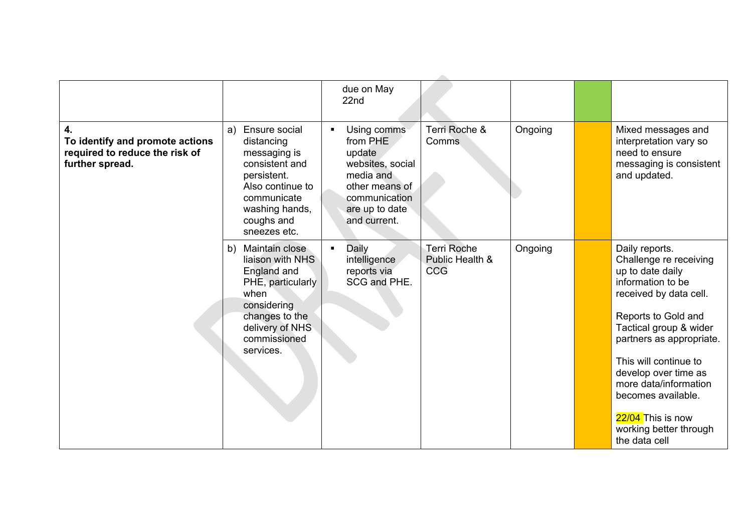|                                                                                            |                                                                                                                                                                       | due on May<br>22nd                                                                                                                                        |                                                     |         |                                                                                                                                                                                                                                                                                                                                                          |
|--------------------------------------------------------------------------------------------|-----------------------------------------------------------------------------------------------------------------------------------------------------------------------|-----------------------------------------------------------------------------------------------------------------------------------------------------------|-----------------------------------------------------|---------|----------------------------------------------------------------------------------------------------------------------------------------------------------------------------------------------------------------------------------------------------------------------------------------------------------------------------------------------------------|
| 4.<br>To identify and promote actions<br>required to reduce the risk of<br>further spread. | Ensure social<br>a)<br>distancing<br>messaging is<br>consistent and<br>persistent.<br>Also continue to<br>communicate<br>washing hands,<br>coughs and<br>sneezes etc. | Using comms<br>$\blacksquare$<br>from PHE<br>update<br>websites, social<br>media and<br>other means of<br>communication<br>are up to date<br>and current. | Terri Roche &<br>Comms                              | Ongoing | Mixed messages and<br>interpretation vary so<br>need to ensure<br>messaging is consistent<br>and updated.                                                                                                                                                                                                                                                |
|                                                                                            | Maintain close<br>b)<br>liaison with NHS<br>England and<br>PHE, particularly<br>when<br>considering<br>changes to the<br>delivery of NHS<br>commissioned<br>services. | Daily<br>$\blacksquare$<br>intelligence<br>reports via<br>SCG and PHE.                                                                                    | <b>Terri Roche</b><br>Public Health &<br><b>CCG</b> | Ongoing | Daily reports.<br>Challenge re receiving<br>up to date daily<br>information to be<br>received by data cell.<br>Reports to Gold and<br>Tactical group & wider<br>partners as appropriate.<br>This will continue to<br>develop over time as<br>more data/information<br>becomes available.<br>22/04 This is now<br>working better through<br>the data cell |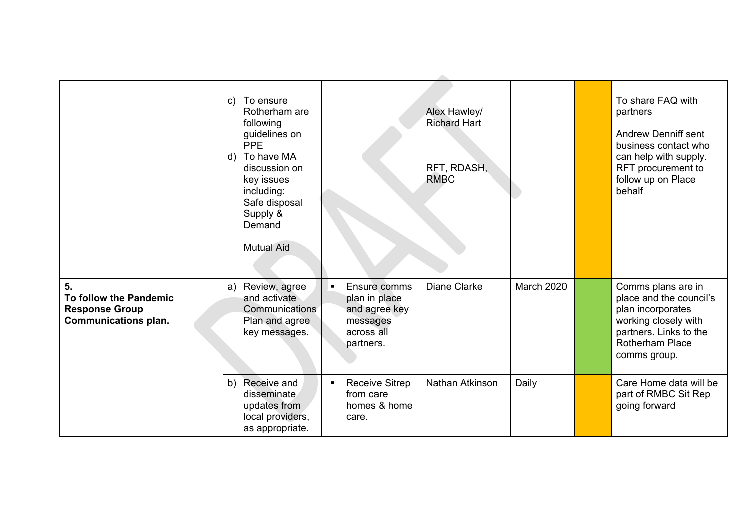|                                                                                                  | To ensure<br>$\mathsf{C}$ )<br>Rotherham are<br>following<br>guidelines on<br><b>PPE</b><br>d) To have MA<br>discussion on<br>key issues<br>including:<br>Safe disposal<br>Supply &<br>Demand<br><b>Mutual Aid</b> |                                                                                             | Alex Hawley/<br><b>Richard Hart</b><br>RFT, RDASH,<br><b>RMBC</b> |            | To share FAQ with<br>partners<br><b>Andrew Denniff sent</b><br>business contact who<br>can help with supply.<br>RFT procurement to<br>follow up on Place<br>behalf |
|--------------------------------------------------------------------------------------------------|--------------------------------------------------------------------------------------------------------------------------------------------------------------------------------------------------------------------|---------------------------------------------------------------------------------------------|-------------------------------------------------------------------|------------|--------------------------------------------------------------------------------------------------------------------------------------------------------------------|
| 5 <sub>1</sub><br>To follow the Pandemic<br><b>Response Group</b><br><b>Communications plan.</b> | Review, agree<br>a)<br>and activate<br>Communications<br>Plan and agree<br>key messages.                                                                                                                           | Ensure comms<br>п.<br>plan in place<br>and agree key<br>messages<br>across all<br>partners. | Diane Clarke                                                      | March 2020 | Comms plans are in<br>place and the council's<br>plan incorporates<br>working closely with<br>partners. Links to the<br><b>Rotherham Place</b><br>comms group.     |
|                                                                                                  | Receive and<br>b)<br>disseminate<br>updates from<br>local providers,<br>as appropriate.                                                                                                                            | <b>Receive Sitrep</b><br>$\blacksquare$<br>from care<br>homes & home<br>care.               | Nathan Atkinson                                                   | Daily      | Care Home data will be<br>part of RMBC Sit Rep<br>going forward                                                                                                    |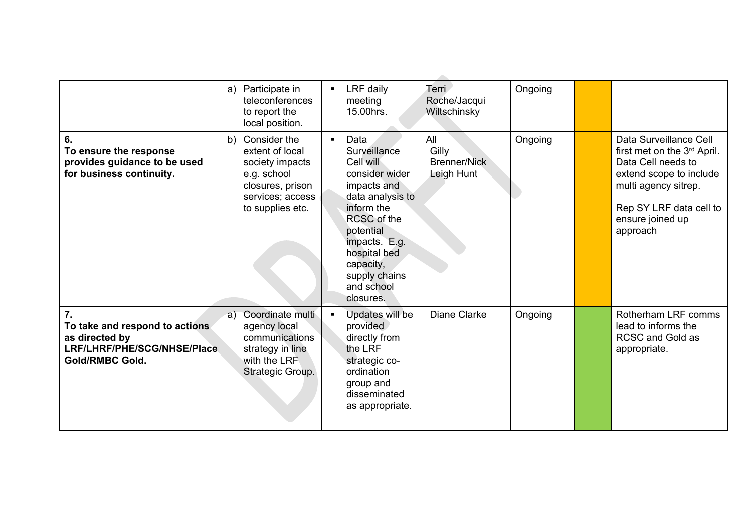|                                                                                                                 | Participate in<br>a)<br>teleconferences<br>to report the<br>local position.                                                         | LRF daily<br>Terri<br>$\blacksquare$<br>Roche/Jacqui<br>meeting<br>15.00hrs.<br>Wiltschinsky                                                                                                                                                                                                      | Ongoing |                                                                                                                                                                                                       |
|-----------------------------------------------------------------------------------------------------------------|-------------------------------------------------------------------------------------------------------------------------------------|---------------------------------------------------------------------------------------------------------------------------------------------------------------------------------------------------------------------------------------------------------------------------------------------------|---------|-------------------------------------------------------------------------------------------------------------------------------------------------------------------------------------------------------|
| 6.<br>To ensure the response<br>provides guidance to be used<br>for business continuity.                        | Consider the<br>b)<br>extent of local<br>society impacts<br>e.g. school<br>closures, prison<br>services; access<br>to supplies etc. | All<br>Data<br>$\blacksquare$<br>Gilly<br>Surveillance<br><b>Brenner/Nick</b><br>Cell will<br>consider wider<br>Leigh Hunt<br>impacts and<br>data analysis to<br>inform the<br>RCSC of the<br>potential<br>impacts. E.g.<br>hospital bed<br>capacity,<br>supply chains<br>and school<br>closures. | Ongoing | Data Surveillance Cell<br>first met on the 3 <sup>rd</sup> April.<br>Data Cell needs to<br>extend scope to include<br>multi agency sitrep.<br>Rep SY LRF data cell to<br>ensure joined up<br>approach |
| 7.<br>To take and respond to actions<br>as directed by<br>LRF/LHRF/PHE/SCG/NHSE/Place<br><b>Gold/RMBC Gold.</b> | Coordinate multi<br>a)<br>agency local<br>communications<br>strategy in line<br>with the LRF<br>Strategic Group.                    | Diane Clarke<br>Updates will be<br>$\blacksquare$<br>provided<br>directly from<br>the LRF<br>strategic co-<br>ordination<br>group and<br>disseminated<br>as appropriate.                                                                                                                          | Ongoing | Rotherham LRF comms<br>lead to informs the<br><b>RCSC and Gold as</b><br>appropriate.                                                                                                                 |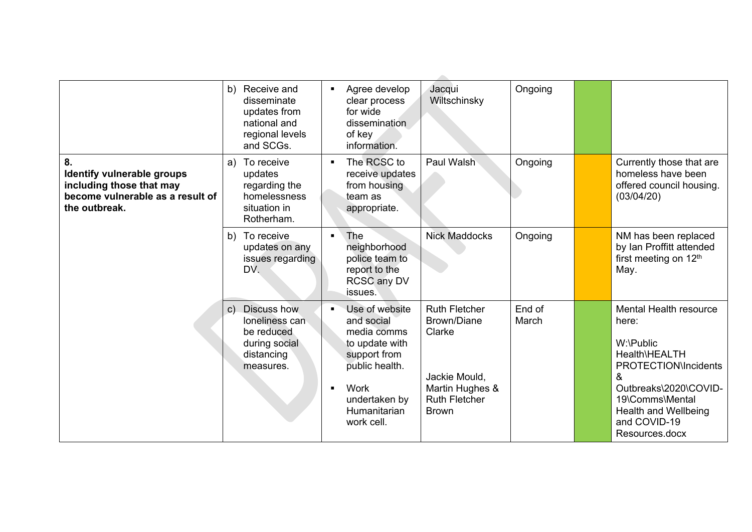|                                                                                                                          | Receive and<br>b)<br>disseminate<br>updates from<br>national and<br>regional levels<br>and SCGs.                 | Agree develop<br>Jacqui<br>$\blacksquare$<br>Wiltschinsky<br>clear process<br>for wide<br>dissemination<br>of key<br>information.                                                                                                                                                                                       | Ongoing         |                                                                                                                                                                                                                       |
|--------------------------------------------------------------------------------------------------------------------------|------------------------------------------------------------------------------------------------------------------|-------------------------------------------------------------------------------------------------------------------------------------------------------------------------------------------------------------------------------------------------------------------------------------------------------------------------|-----------------|-----------------------------------------------------------------------------------------------------------------------------------------------------------------------------------------------------------------------|
| 8.<br><b>Identify vulnerable groups</b><br>including those that may<br>become vulnerable as a result of<br>the outbreak. | To receive<br>a)<br>updates<br>regarding the<br>homelessness<br>situation in<br>Rotherham.                       | The RCSC to<br>Paul Walsh<br>$\blacksquare$<br>receive updates<br>from housing<br>team as<br>appropriate.                                                                                                                                                                                                               | Ongoing         | Currently those that are<br>homeless have been<br>offered council housing.<br>(03/04/20)                                                                                                                              |
|                                                                                                                          | b) To receive<br>updates on any<br>issues regarding<br>DV.                                                       | The<br><b>Nick Maddocks</b><br>$\blacksquare$<br>neighborhood<br>police team to<br>report to the<br>RCSC any DV<br>issues.                                                                                                                                                                                              | Ongoing         | NM has been replaced<br>by Ian Proffitt attended<br>first meeting on 12th<br>May.                                                                                                                                     |
|                                                                                                                          | <b>Discuss how</b><br>$\mathsf{C}$ )<br>loneliness can<br>be reduced<br>during social<br>distancing<br>measures. | Use of website<br><b>Ruth Fletcher</b><br>$\blacksquare$<br>Brown/Diane<br>and social<br>media comms<br>Clarke<br>to update with<br>support from<br>public health.<br>Jackie Mould,<br>Work<br>Martin Hughes &<br>$\blacksquare$<br><b>Ruth Fletcher</b><br>undertaken by<br>Humanitarian<br><b>Brown</b><br>work cell. | End of<br>March | <b>Mental Health resource</b><br>here:<br>W:\Public<br>Health\HEALTH<br><b>PROTECTION\Incidents</b><br>&<br>Outbreaks\2020\COVID-<br>19\Comms\Mental<br><b>Health and Wellbeing</b><br>and COVID-19<br>Resources.docx |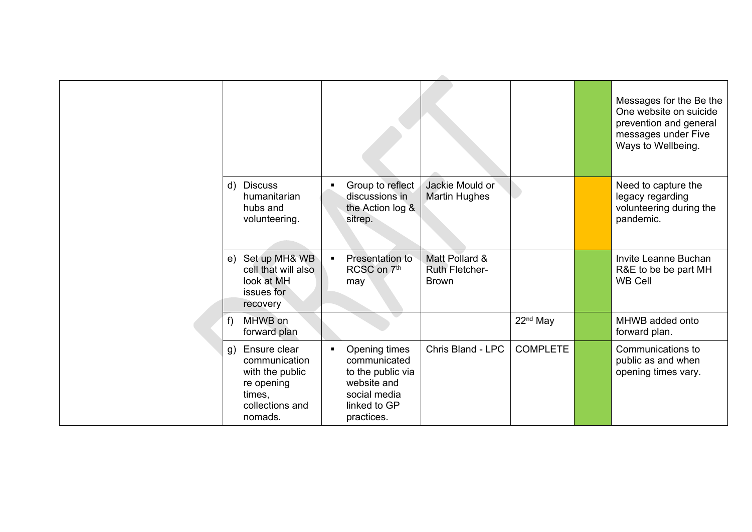|    |                                                                                                        |                |                                                                                                                 |                                                  |                      | Messages for the Be the<br>One website on suicide<br>prevention and general<br>messages under Five<br>Ways to Wellbeing. |
|----|--------------------------------------------------------------------------------------------------------|----------------|-----------------------------------------------------------------------------------------------------------------|--------------------------------------------------|----------------------|--------------------------------------------------------------------------------------------------------------------------|
|    | d) Discuss<br>humanitarian<br>hubs and<br>volunteering.                                                | $\blacksquare$ | Group to reflect<br>discussions in<br>the Action log &<br>sitrep.                                               | Jackie Mould or<br><b>Martin Hughes</b>          |                      | Need to capture the<br>legacy regarding<br>volunteering during the<br>pandemic.                                          |
|    | e) Set up MH& WB<br>cell that will also<br>look at MH<br>issues for<br>recovery                        | $\blacksquare$ | Presentation to<br>RCSC on 7th<br>may                                                                           | Matt Pollard &<br>Ruth Fletcher-<br><b>Brown</b> |                      | Invite Leanne Buchan<br>R&E to be be part MH<br><b>WB Cell</b>                                                           |
| f  | MHWB on<br>forward plan                                                                                |                |                                                                                                                 |                                                  | 22 <sup>nd</sup> May | MHWB added onto<br>forward plan.                                                                                         |
| q) | Ensure clear<br>communication<br>with the public<br>re opening<br>times,<br>collections and<br>nomads. | $\blacksquare$ | Opening times<br>communicated<br>to the public via<br>website and<br>social media<br>linked to GP<br>practices. | Chris Bland - LPC                                | <b>COMPLETE</b>      | Communications to<br>public as and when<br>opening times vary.                                                           |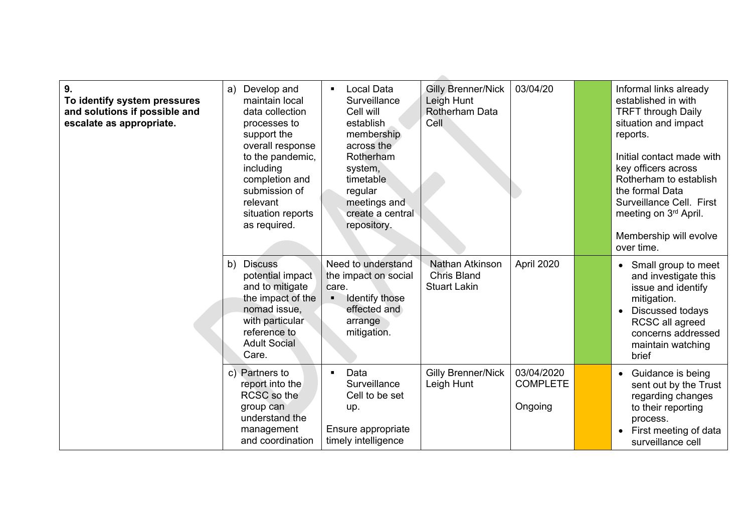| 9.<br>To identify system pressures<br>and solutions if possible and<br>escalate as appropriate. | Develop and<br>a)<br>maintain local<br>data collection<br>processes to<br>support the<br>overall response<br>to the pandemic,<br>including<br>completion and<br>submission of<br>relevant<br>situation reports<br>as required. | <b>Local Data</b><br>$\blacksquare$<br>Surveillance<br>Cell will<br>establish<br>membership<br>across the<br>Rotherham<br>system,<br>timetable<br>regular<br>meetings and<br>create a central<br>repository. | <b>Gilly Brenner/Nick</b><br>Leigh Hunt<br>Rotherham Data<br>Cell | 03/04/20                                 | Informal links already<br>established in with<br><b>TRFT through Daily</b><br>situation and impact<br>reports.<br>Initial contact made with<br>key officers across<br>Rotherham to establish<br>the formal Data<br>Surveillance Cell. First<br>meeting on 3rd April.<br>Membership will evolve |
|-------------------------------------------------------------------------------------------------|--------------------------------------------------------------------------------------------------------------------------------------------------------------------------------------------------------------------------------|--------------------------------------------------------------------------------------------------------------------------------------------------------------------------------------------------------------|-------------------------------------------------------------------|------------------------------------------|------------------------------------------------------------------------------------------------------------------------------------------------------------------------------------------------------------------------------------------------------------------------------------------------|
|                                                                                                 |                                                                                                                                                                                                                                |                                                                                                                                                                                                              |                                                                   |                                          | over time.                                                                                                                                                                                                                                                                                     |
|                                                                                                 | <b>Discuss</b><br>b)<br>potential impact<br>and to mitigate<br>the impact of the<br>nomad issue,<br>with particular<br>reference to<br><b>Adult Social</b><br>Care.                                                            | Need to understand<br>the impact on social<br>care.<br>Identify those<br>$\blacksquare$<br>effected and<br>arrange<br>mitigation.                                                                            | Nathan Atkinson<br><b>Chris Bland</b><br><b>Stuart Lakin</b>      | April 2020                               | Small group to meet<br>and investigate this<br>issue and identify<br>mitigation.<br>Discussed todays<br>RCSC all agreed<br>concerns addressed<br>maintain watching<br>brief                                                                                                                    |
|                                                                                                 | c) Partners to<br>report into the<br>RCSC so the<br>group can<br>understand the<br>management<br>and coordination                                                                                                              | Data<br>$\blacksquare$<br>Surveillance<br>Cell to be set<br>up.<br>Ensure appropriate<br>timely intelligence                                                                                                 | <b>Gilly Brenner/Nick</b><br>Leigh Hunt                           | 03/04/2020<br><b>COMPLETE</b><br>Ongoing | Guidance is being<br>$\bullet$<br>sent out by the Trust<br>regarding changes<br>to their reporting<br>process.<br>First meeting of data<br>$\bullet$<br>surveillance cell                                                                                                                      |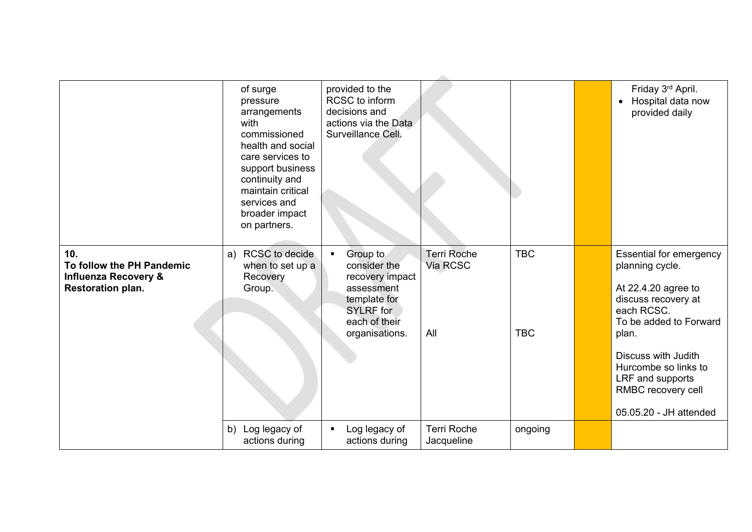|                                                                                                 | of surge<br>pressure<br>arrangements<br>with<br>commissioned<br>health and social<br>care services to<br>support business<br>continuity and<br>maintain critical<br>services and<br>broader impact<br>on partners. | provided to the<br>RCSC to inform<br>decisions and<br>actions via the Data<br>Surveillance Cell.                                                   |                                       |                          | Friday 3rd April.<br>Hospital data now<br>$\bullet$<br>provided daily                                                                                                                                                                                               |
|-------------------------------------------------------------------------------------------------|--------------------------------------------------------------------------------------------------------------------------------------------------------------------------------------------------------------------|----------------------------------------------------------------------------------------------------------------------------------------------------|---------------------------------------|--------------------------|---------------------------------------------------------------------------------------------------------------------------------------------------------------------------------------------------------------------------------------------------------------------|
| 10.<br>To follow the PH Pandemic<br><b>Influenza Recovery &amp;</b><br><b>Restoration plan.</b> | RCSC to decide<br>a)<br>when to set up a<br>Recovery<br>Group.                                                                                                                                                     | Group to<br>$\blacksquare$<br>consider the<br>recovery impact<br>assessment<br>template for<br><b>SYLRF</b> for<br>each of their<br>organisations. | <b>Terri Roche</b><br>Via RCSC<br>All | <b>TBC</b><br><b>TBC</b> | <b>Essential for emergency</b><br>planning cycle.<br>At 22.4.20 agree to<br>discuss recovery at<br>each RCSC.<br>To be added to Forward<br>plan.<br>Discuss with Judith<br>Hurcombe so links to<br>LRF and supports<br>RMBC recovery cell<br>05.05.20 - JH attended |
|                                                                                                 | b) Log legacy of<br>actions during                                                                                                                                                                                 | Log legacy of<br>$\blacksquare$<br>actions during                                                                                                  | <b>Terri Roche</b><br>Jacqueline      | ongoing                  |                                                                                                                                                                                                                                                                     |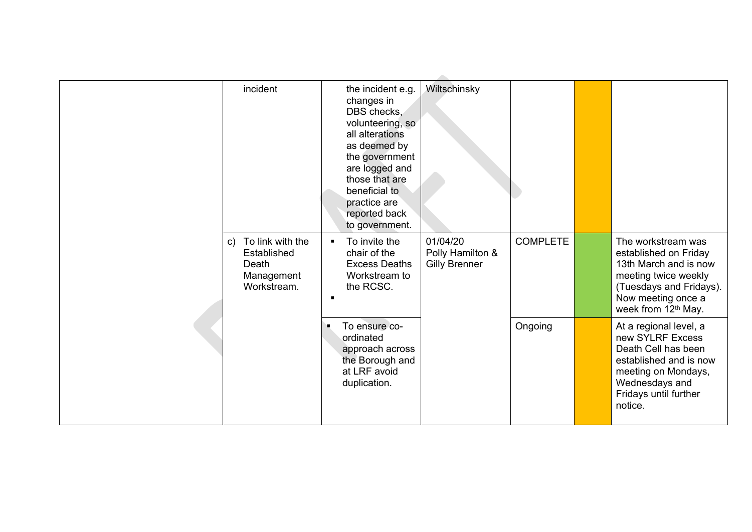| incident                                                                 | the incident e.g.<br>changes in<br>DBS checks,<br>volunteering, so<br>all alterations<br>as deemed by<br>the government<br>are logged and<br>those that are<br>beneficial to<br>practice are<br>reported back<br>to government. | Wiltschinsky                                         |                 |                                                                                                                                                                          |
|--------------------------------------------------------------------------|---------------------------------------------------------------------------------------------------------------------------------------------------------------------------------------------------------------------------------|------------------------------------------------------|-----------------|--------------------------------------------------------------------------------------------------------------------------------------------------------------------------|
| c) To link with the<br>Established<br>Death<br>Management<br>Workstream. | To invite the<br>$\blacksquare$<br>chair of the<br><b>Excess Deaths</b><br>Workstream to<br>the RCSC.<br>$\blacksquare$                                                                                                         | 01/04/20<br>Polly Hamilton &<br><b>Gilly Brenner</b> | <b>COMPLETE</b> | The workstream was<br>established on Friday<br>13th March and is now<br>meeting twice weekly<br>(Tuesdays and Fridays).<br>Now meeting once a<br>week from 12th May.     |
|                                                                          | To ensure co-<br>ordinated<br>approach across<br>the Borough and<br>at LRF avoid<br>duplication.                                                                                                                                |                                                      | Ongoing         | At a regional level, a<br>new SYLRF Excess<br>Death Cell has been<br>established and is now<br>meeting on Mondays,<br>Wednesdays and<br>Fridays until further<br>notice. |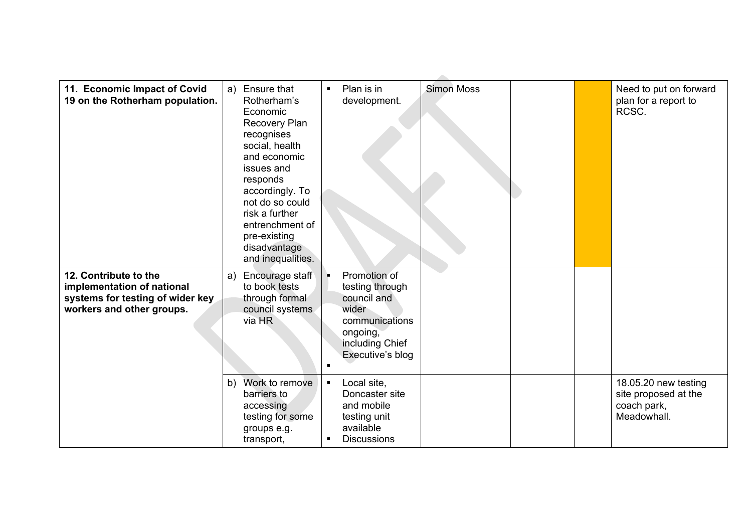| 11. Economic Impact of Covid<br>19 on the Rotherham population.                                                      | Ensure that<br>a)<br>Rotherham's<br>Economic<br>Recovery Plan<br>recognises<br>social, health<br>and economic<br>issues and<br>responds<br>accordingly. To<br>not do so could<br>risk a further<br>entrenchment of<br>pre-existing<br>disadvantage<br>and inequalities. | Plan is in<br><b>Simon Moss</b><br>$\blacksquare$<br>development.                                                                                                                                                                                  | Need to put on forward<br>plan for a report to<br>RCSC.                    |
|----------------------------------------------------------------------------------------------------------------------|-------------------------------------------------------------------------------------------------------------------------------------------------------------------------------------------------------------------------------------------------------------------------|----------------------------------------------------------------------------------------------------------------------------------------------------------------------------------------------------------------------------------------------------|----------------------------------------------------------------------------|
| 12. Contribute to the<br>implementation of national<br>systems for testing of wider key<br>workers and other groups. | Encourage staff<br>a)<br>to book tests<br>through formal<br>council systems.<br>via HR<br>Work to remove<br>b)<br>barriers to<br>accessing<br>testing for some                                                                                                          | Promotion of<br>н.<br>testing through<br>council and<br>wider<br>communications<br>ongoing,<br>including Chief<br>Executive's blog<br>$\blacksquare$<br>Local site,<br>$\blacksquare$<br>Doncaster site<br>and mobile<br>testing unit<br>available | 18.05.20 new testing<br>site proposed at the<br>coach park,<br>Meadowhall. |
|                                                                                                                      | groups e.g.<br>transport,                                                                                                                                                                                                                                               | <b>Discussions</b>                                                                                                                                                                                                                                 |                                                                            |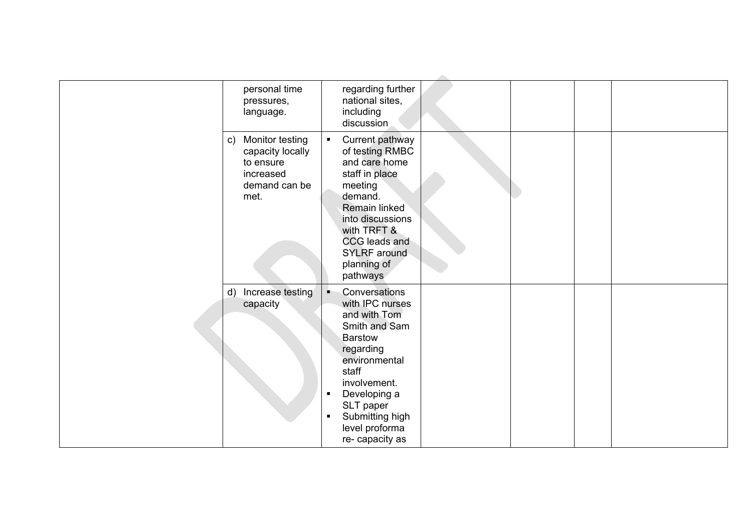| personal time<br>pressures,<br>language.                                                                 | regarding further<br>national sites,<br>including<br>discussion                                                                                                                                                                                                          |
|----------------------------------------------------------------------------------------------------------|--------------------------------------------------------------------------------------------------------------------------------------------------------------------------------------------------------------------------------------------------------------------------|
| Monitor testing<br>$\mathsf{C}$ )<br>capacity locally<br>to ensure<br>increased<br>demand can be<br>met. | Current pathway<br>$\blacksquare$<br>of testing RMBC<br>and care home<br>staff in place<br>meeting<br>demand.<br>Remain linked<br>into discussions<br>with TRFT &<br>CCG leads and<br>SYLRF around<br>planning of<br>pathways                                            |
| Increase testing<br>$\mathsf{d}$<br>capacity                                                             | Conversations<br>п.<br>with IPC nurses<br>and with Tom<br>Smith and Sam<br><b>Barstow</b><br>regarding<br>environmental<br>staff<br>involvement.<br>Developing a<br>$\blacksquare$<br>SLT paper<br>Submitting high<br>$\blacksquare$<br>level proforma<br>re-capacity as |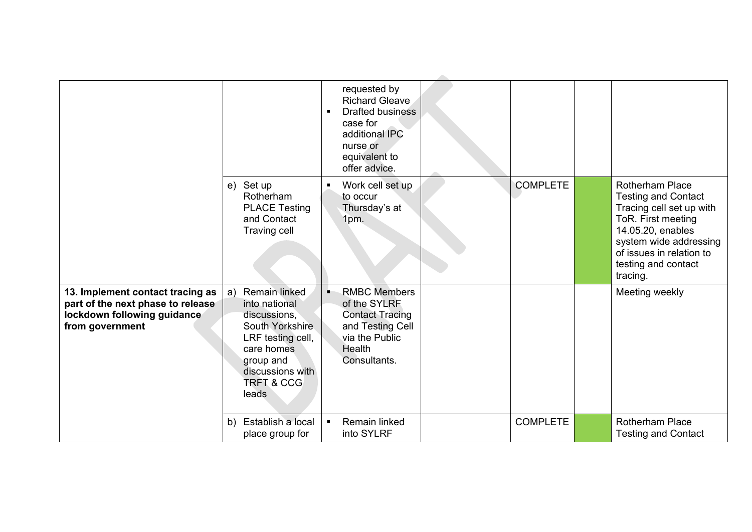|                                                                                                                         |                                                                                                                                                                               | requested by<br><b>Richard Gleave</b><br>Drafted business<br>$\blacksquare$<br>case for<br>additional IPC                           |                 |                                                                                                                                                                                                                      |
|-------------------------------------------------------------------------------------------------------------------------|-------------------------------------------------------------------------------------------------------------------------------------------------------------------------------|-------------------------------------------------------------------------------------------------------------------------------------|-----------------|----------------------------------------------------------------------------------------------------------------------------------------------------------------------------------------------------------------------|
|                                                                                                                         |                                                                                                                                                                               | nurse or<br>equivalent to<br>offer advice.                                                                                          |                 |                                                                                                                                                                                                                      |
|                                                                                                                         | e) Set up<br>Rotherham<br><b>PLACE Testing</b><br>and Contact<br>Traving cell                                                                                                 | Work cell set up<br>to occur<br>Thursday's at<br>1pm.                                                                               | <b>COMPLETE</b> | <b>Rotherham Place</b><br><b>Testing and Contact</b><br>Tracing cell set up with<br>ToR. First meeting<br>14.05.20, enables<br>system wide addressing<br>of issues in relation to<br>testing and contact<br>tracing. |
| 13. Implement contact tracing as<br>part of the next phase to release<br>lockdown following guidance<br>from government | Remain linked<br>a)<br>into national<br>discussions,<br>South Yorkshire<br>LRF testing cell,<br>care homes<br>group and<br>discussions with<br><b>TRFT &amp; CCG</b><br>leads | <b>RMBC Members</b><br>٠,<br>of the SYLRF<br><b>Contact Tracing</b><br>and Testing Cell<br>via the Public<br>Health<br>Consultants. |                 | Meeting weekly                                                                                                                                                                                                       |
|                                                                                                                         | Establish a local<br>b)<br>place group for                                                                                                                                    | Remain linked<br>$\blacksquare$<br>into SYLRF                                                                                       | <b>COMPLETE</b> | Rotherham Place<br><b>Testing and Contact</b>                                                                                                                                                                        |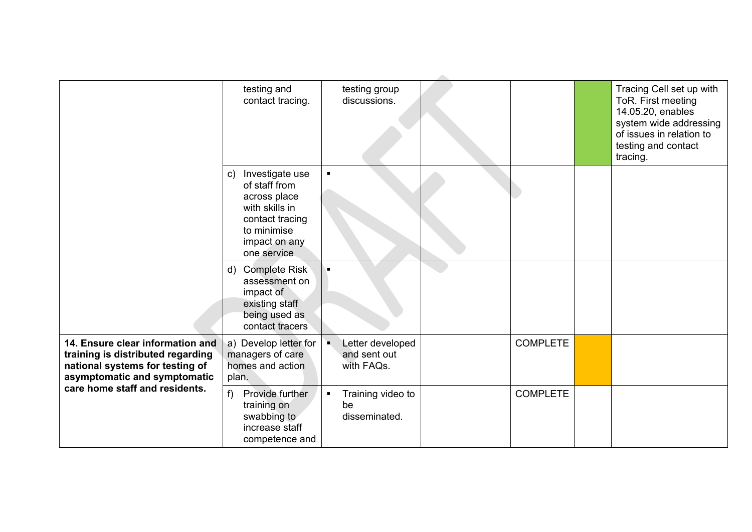|                                                                                                                                                                            | testing and<br>contact tracing.                                                                                                                        | testing group<br>discussions.                                    |                 | Tracing Cell set up with<br>ToR. First meeting<br>14.05.20, enables<br>system wide addressing<br>of issues in relation to<br>testing and contact<br>tracing. |
|----------------------------------------------------------------------------------------------------------------------------------------------------------------------------|--------------------------------------------------------------------------------------------------------------------------------------------------------|------------------------------------------------------------------|-----------------|--------------------------------------------------------------------------------------------------------------------------------------------------------------|
|                                                                                                                                                                            | Investigate use<br>$\mathsf{C}$ )<br>of staff from<br>across place<br>with skills in<br>contact tracing<br>to minimise<br>impact on any<br>one service | ٠                                                                |                 |                                                                                                                                                              |
|                                                                                                                                                                            | d) Complete Risk<br>assessment on<br>impact of<br>existing staff<br>being used as<br>contact tracers                                                   |                                                                  |                 |                                                                                                                                                              |
| 14. Ensure clear information and<br>training is distributed regarding<br>national systems for testing of<br>asymptomatic and symptomatic<br>care home staff and residents. | a) Develop letter for<br>managers of care<br>homes and action<br>plan.                                                                                 | Letter developed<br>$\blacksquare$<br>and sent out<br>with FAQs. | <b>COMPLETE</b> |                                                                                                                                                              |
|                                                                                                                                                                            | $f$ )<br>Provide further<br>training on<br>swabbing to<br>increase staff<br>competence and                                                             | Training video to<br>be<br>disseminated.                         | <b>COMPLETE</b> |                                                                                                                                                              |